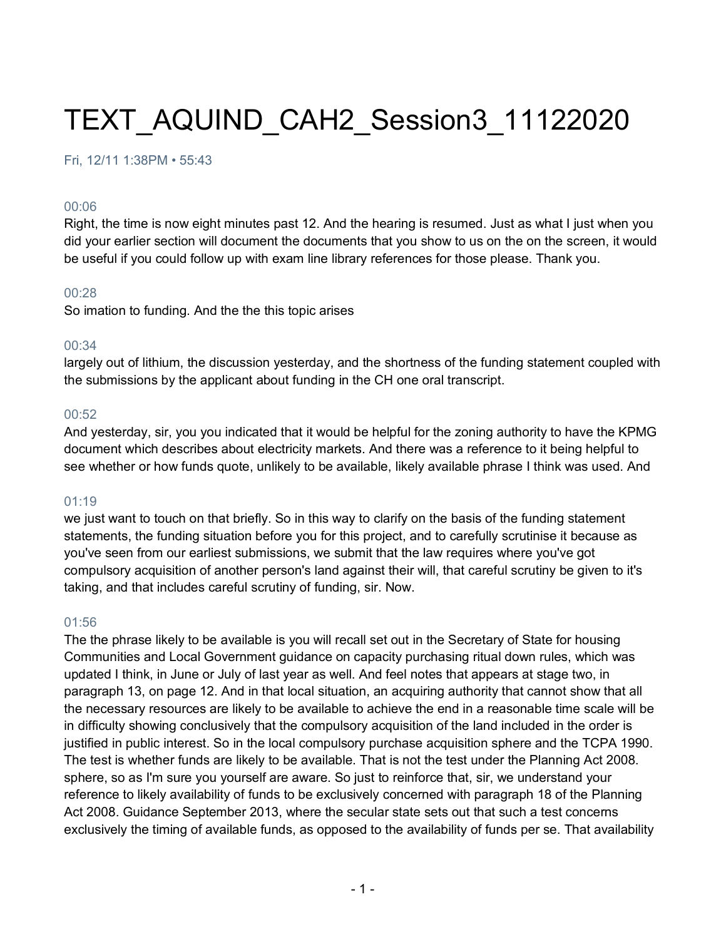# TEXT\_AQUIND\_CAH2\_Session3\_11122020

## Fri, 12/11 1:38PM • 55:43

#### 00:06

Right, the time is now eight minutes past 12. And the hearing is resumed. Just as what I just when you did your earlier section will document the documents that you show to us on the on the screen, it would be useful if you could follow up with exam line library references for those please. Thank you.

## 00:28

So imation to funding. And the the this topic arises

#### 00:34

largely out of lithium, the discussion yesterday, and the shortness of the funding statement coupled with the submissions by the applicant about funding in the CH one oral transcript.

#### 00:52

And yesterday, sir, you you indicated that it would be helpful for the zoning authority to have the KPMG document which describes about electricity markets. And there was a reference to it being helpful to see whether or how funds quote, unlikely to be available, likely available phrase I think was used. And

#### 01:19

we just want to touch on that briefly. So in this way to clarify on the basis of the funding statement statements, the funding situation before you for this project, and to carefully scrutinise it because as you've seen from our earliest submissions, we submit that the law requires where you've got compulsory acquisition of another person's land against their will, that careful scrutiny be given to it's taking, and that includes careful scrutiny of funding, sir. Now.

## 01:56

The the phrase likely to be available is you will recall set out in the Secretary of State for housing Communities and Local Government guidance on capacity purchasing ritual down rules, which was updated I think, in June or July of last year as well. And feel notes that appears at stage two, in paragraph 13, on page 12. And in that local situation, an acquiring authority that cannot show that all the necessary resources are likely to be available to achieve the end in a reasonable time scale will be in difficulty showing conclusively that the compulsory acquisition of the land included in the order is justified in public interest. So in the local compulsory purchase acquisition sphere and the TCPA 1990. The test is whether funds are likely to be available. That is not the test under the Planning Act 2008. sphere, so as I'm sure you yourself are aware. So just to reinforce that, sir, we understand your reference to likely availability of funds to be exclusively concerned with paragraph 18 of the Planning Act 2008. Guidance September 2013, where the secular state sets out that such a test concerns exclusively the timing of available funds, as opposed to the availability of funds per se. That availability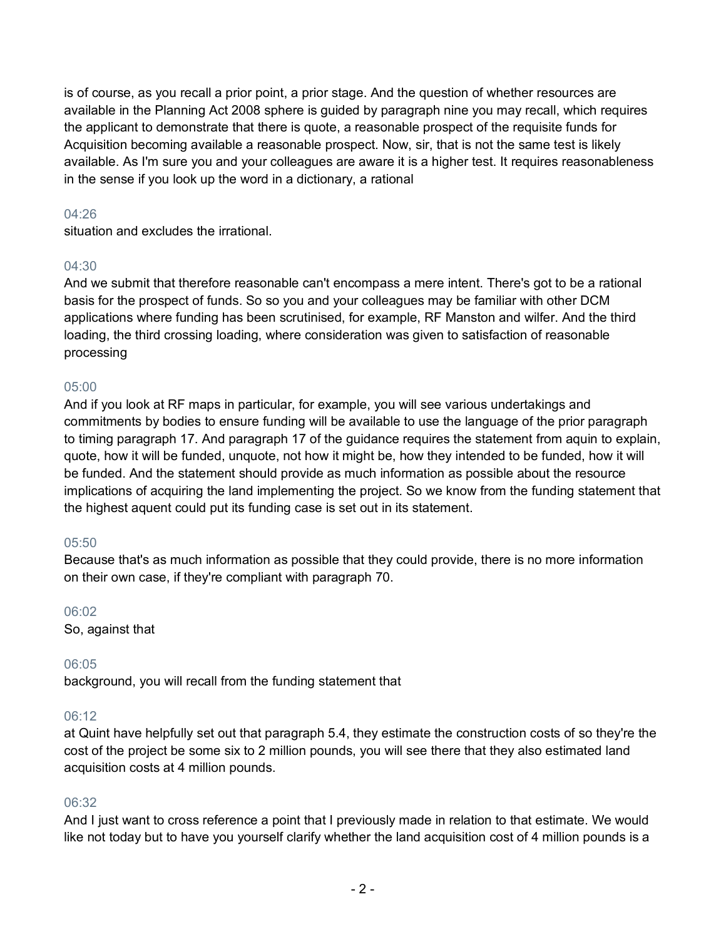is of course, as you recall a prior point, a prior stage. And the question of whether resources are available in the Planning Act 2008 sphere is guided by paragraph nine you may recall, which requires the applicant to demonstrate that there is quote, a reasonable prospect of the requisite funds for Acquisition becoming available a reasonable prospect. Now, sir, that is not the same test is likely available. As I'm sure you and your colleagues are aware it is a higher test. It requires reasonableness in the sense if you look up the word in a dictionary, a rational

# 04:26

situation and excludes the irrational.

# 04:30

And we submit that therefore reasonable can't encompass a mere intent. There's got to be a rational basis for the prospect of funds. So so you and your colleagues may be familiar with other DCM applications where funding has been scrutinised, for example, RF Manston and wilfer. And the third loading, the third crossing loading, where consideration was given to satisfaction of reasonable processing

# 05:00

And if you look at RF maps in particular, for example, you will see various undertakings and commitments by bodies to ensure funding will be available to use the language of the prior paragraph to timing paragraph 17. And paragraph 17 of the guidance requires the statement from aquin to explain, quote, how it will be funded, unquote, not how it might be, how they intended to be funded, how it will be funded. And the statement should provide as much information as possible about the resource implications of acquiring the land implementing the project. So we know from the funding statement that the highest aquent could put its funding case is set out in its statement.

## 05:50

Because that's as much information as possible that they could provide, there is no more information on their own case, if they're compliant with paragraph 70.

#### 06:02

So, against that

## 06:05

background, you will recall from the funding statement that

## 06:12

at Quint have helpfully set out that paragraph 5.4, they estimate the construction costs of so they're the cost of the project be some six to 2 million pounds, you will see there that they also estimated land acquisition costs at 4 million pounds.

## 06:32

And I just want to cross reference a point that I previously made in relation to that estimate. We would like not today but to have you yourself clarify whether the land acquisition cost of 4 million pounds is a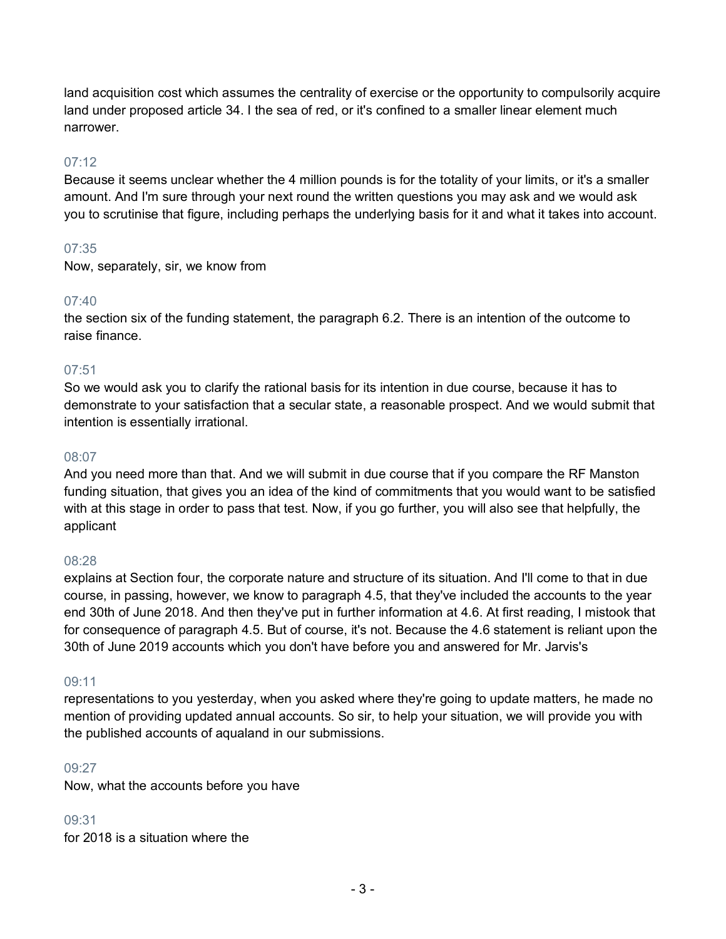land acquisition cost which assumes the centrality of exercise or the opportunity to compulsorily acquire land under proposed article 34. I the sea of red, or it's confined to a smaller linear element much narrower.

# 07:12

Because it seems unclear whether the 4 million pounds is for the totality of your limits, or it's a smaller amount. And I'm sure through your next round the written questions you may ask and we would ask you to scrutinise that figure, including perhaps the underlying basis for it and what it takes into account.

# 07:35

Now, separately, sir, we know from

# 07:40

the section six of the funding statement, the paragraph 6.2. There is an intention of the outcome to raise finance.

# 07:51

So we would ask you to clarify the rational basis for its intention in due course, because it has to demonstrate to your satisfaction that a secular state, a reasonable prospect. And we would submit that intention is essentially irrational.

## 08:07

And you need more than that. And we will submit in due course that if you compare the RF Manston funding situation, that gives you an idea of the kind of commitments that you would want to be satisfied with at this stage in order to pass that test. Now, if you go further, you will also see that helpfully, the applicant

## 08:28

explains at Section four, the corporate nature and structure of its situation. And I'll come to that in due course, in passing, however, we know to paragraph 4.5, that they've included the accounts to the year end 30th of June 2018. And then they've put in further information at 4.6. At first reading, I mistook that for consequence of paragraph 4.5. But of course, it's not. Because the 4.6 statement is reliant upon the 30th of June 2019 accounts which you don't have before you and answered for Mr. Jarvis's

## 09:11

representations to you yesterday, when you asked where they're going to update matters, he made no mention of providing updated annual accounts. So sir, to help your situation, we will provide you with the published accounts of aqualand in our submissions.

## 09:27

Now, what the accounts before you have

## 09:31

for 2018 is a situation where the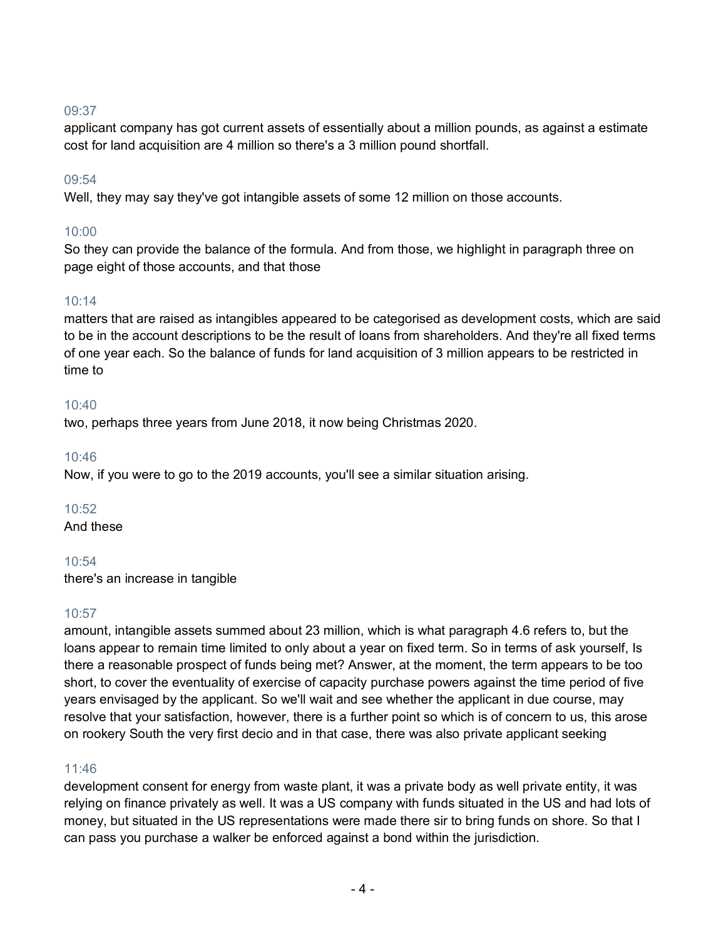applicant company has got current assets of essentially about a million pounds, as against a estimate cost for land acquisition are 4 million so there's a 3 million pound shortfall.

# 09:54

Well, they may say they've got intangible assets of some 12 million on those accounts.

# 10:00

So they can provide the balance of the formula. And from those, we highlight in paragraph three on page eight of those accounts, and that those

# 10:14

matters that are raised as intangibles appeared to be categorised as development costs, which are said to be in the account descriptions to be the result of loans from shareholders. And they're all fixed terms of one year each. So the balance of funds for land acquisition of 3 million appears to be restricted in time to

# 10:40

two, perhaps three years from June 2018, it now being Christmas 2020.

# 10:46

Now, if you were to go to the 2019 accounts, you'll see a similar situation arising.

# 10:52

And these

# 10:54

there's an increase in tangible

# 10:57

amount, intangible assets summed about 23 million, which is what paragraph 4.6 refers to, but the loans appear to remain time limited to only about a year on fixed term. So in terms of ask yourself, Is there a reasonable prospect of funds being met? Answer, at the moment, the term appears to be too short, to cover the eventuality of exercise of capacity purchase powers against the time period of five years envisaged by the applicant. So we'll wait and see whether the applicant in due course, may resolve that your satisfaction, however, there is a further point so which is of concern to us, this arose on rookery South the very first decio and in that case, there was also private applicant seeking

## 11:46

development consent for energy from waste plant, it was a private body as well private entity, it was relying on finance privately as well. It was a US company with funds situated in the US and had lots of money, but situated in the US representations were made there sir to bring funds on shore. So that I can pass you purchase a walker be enforced against a bond within the jurisdiction.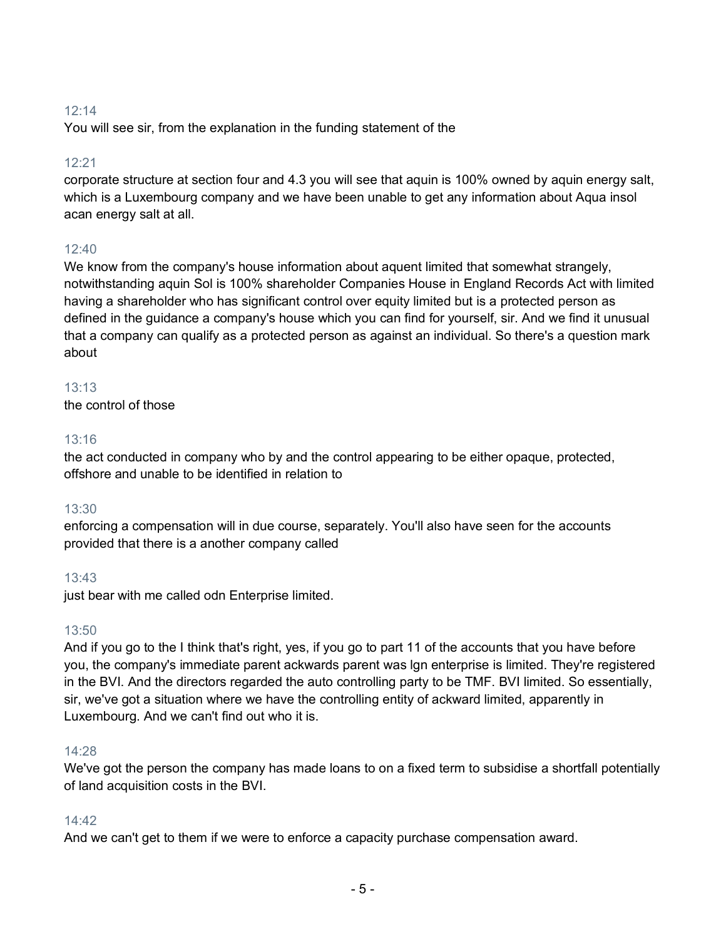You will see sir, from the explanation in the funding statement of the

# 12:21

corporate structure at section four and 4.3 you will see that aquin is 100% owned by aquin energy salt, which is a Luxembourg company and we have been unable to get any information about Aqua insol acan energy salt at all.

# $12:40$

We know from the company's house information about aquent limited that somewhat strangely, notwithstanding aquin Sol is 100% shareholder Companies House in England Records Act with limited having a shareholder who has significant control over equity limited but is a protected person as defined in the guidance a company's house which you can find for yourself, sir. And we find it unusual that a company can qualify as a protected person as against an individual. So there's a question mark about

## 13:13

the control of those

# 13:16

the act conducted in company who by and the control appearing to be either opaque, protected, offshore and unable to be identified in relation to

# 13:30

enforcing a compensation will in due course, separately. You'll also have seen for the accounts provided that there is a another company called

# 13:43

just bear with me called odn Enterprise limited.

# 13:50

And if you go to the I think that's right, yes, if you go to part 11 of the accounts that you have before you, the company's immediate parent ackwards parent was lgn enterprise is limited. They're registered in the BVI. And the directors regarded the auto controlling party to be TMF. BVI limited. So essentially, sir, we've got a situation where we have the controlling entity of ackward limited, apparently in Luxembourg. And we can't find out who it is.

## 14:28

We've got the person the company has made loans to on a fixed term to subsidise a shortfall potentially of land acquisition costs in the BVI.

## 14:42

And we can't get to them if we were to enforce a capacity purchase compensation award.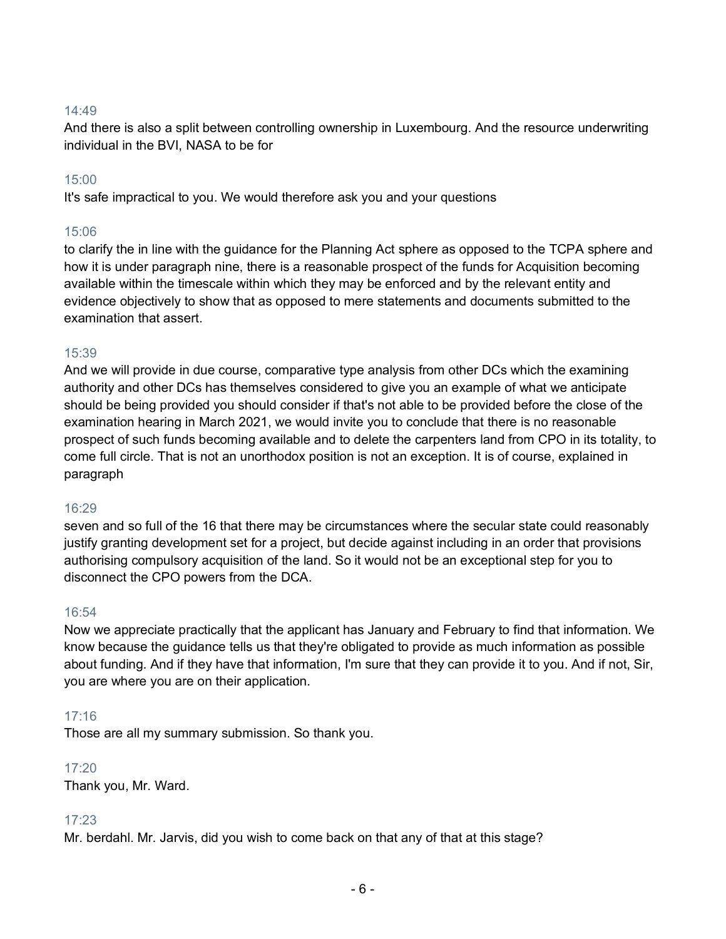And there is also a split between controlling ownership in Luxembourg. And the resource underwriting individual in the BVI, NASA to be for

# 15:00

It's safe impractical to you. We would therefore ask you and your questions

# 15:06

to clarify the in line with the guidance for the Planning Act sphere as opposed to the TCPA sphere and how it is under paragraph nine, there is a reasonable prospect of the funds for Acquisition becoming available within the timescale within which they may be enforced and by the relevant entity and evidence objectively to show that as opposed to mere statements and documents submitted to the examination that assert.

## 15:39

And we will provide in due course, comparative type analysis from other DCs which the examining authority and other DCs has themselves considered to give you an example of what we anticipate should be being provided you should consider if that's not able to be provided before the close of the examination hearing in March 2021, we would invite you to conclude that there is no reasonable prospect of such funds becoming available and to delete the carpenters land from CPO in its totality, to come full circle. That is not an unorthodox position is not an exception. It is of course, explained in paragraph

## 16:29

seven and so full of the 16 that there may be circumstances where the secular state could reasonably justify granting development set for a project, but decide against including in an order that provisions authorising compulsory acquisition of the land. So it would not be an exceptional step for you to disconnect the CPO powers from the DCA.

## 16:54

Now we appreciate practically that the applicant has January and February to find that information. We know because the guidance tells us that they're obligated to provide as much information as possible about funding. And if they have that information, I'm sure that they can provide it to you. And if not, Sir, you are where you are on their application.

# 17:16

Those are all my summary submission. So thank you.

## 17:20

Thank you, Mr. Ward.

## 17:23

Mr. berdahl. Mr. Jarvis, did you wish to come back on that any of that at this stage?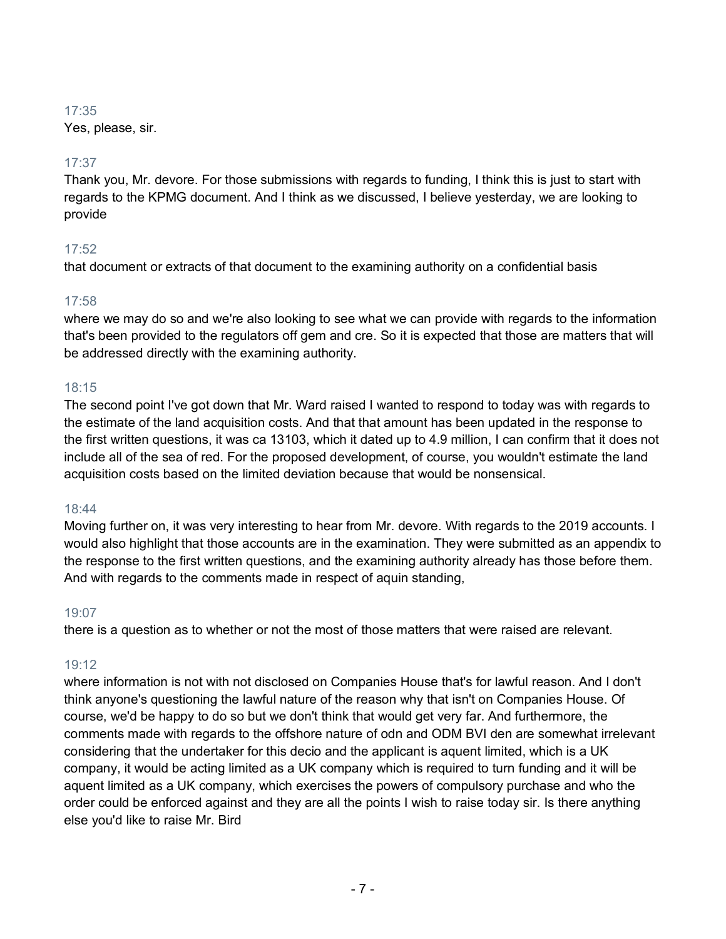Yes, please, sir.

# 17:37

Thank you, Mr. devore. For those submissions with regards to funding, I think this is just to start with regards to the KPMG document. And I think as we discussed, I believe yesterday, we are looking to provide

# 17:52

that document or extracts of that document to the examining authority on a confidential basis

# 17:58

where we may do so and we're also looking to see what we can provide with regards to the information that's been provided to the regulators off gem and cre. So it is expected that those are matters that will be addressed directly with the examining authority.

# 18:15

The second point I've got down that Mr. Ward raised I wanted to respond to today was with regards to the estimate of the land acquisition costs. And that that amount has been updated in the response to the first written questions, it was ca 13103, which it dated up to 4.9 million, I can confirm that it does not include all of the sea of red. For the proposed development, of course, you wouldn't estimate the land acquisition costs based on the limited deviation because that would be nonsensical.

# 18:44

Moving further on, it was very interesting to hear from Mr. devore. With regards to the 2019 accounts. I would also highlight that those accounts are in the examination. They were submitted as an appendix to the response to the first written questions, and the examining authority already has those before them. And with regards to the comments made in respect of aquin standing,

# 19:07

there is a question as to whether or not the most of those matters that were raised are relevant.

# 19:12

where information is not with not disclosed on Companies House that's for lawful reason. And I don't think anyone's questioning the lawful nature of the reason why that isn't on Companies House. Of course, we'd be happy to do so but we don't think that would get very far. And furthermore, the comments made with regards to the offshore nature of odn and ODM BVI den are somewhat irrelevant considering that the undertaker for this decio and the applicant is aquent limited, which is a UK company, it would be acting limited as a UK company which is required to turn funding and it will be aquent limited as a UK company, which exercises the powers of compulsory purchase and who the order could be enforced against and they are all the points I wish to raise today sir. Is there anything else you'd like to raise Mr. Bird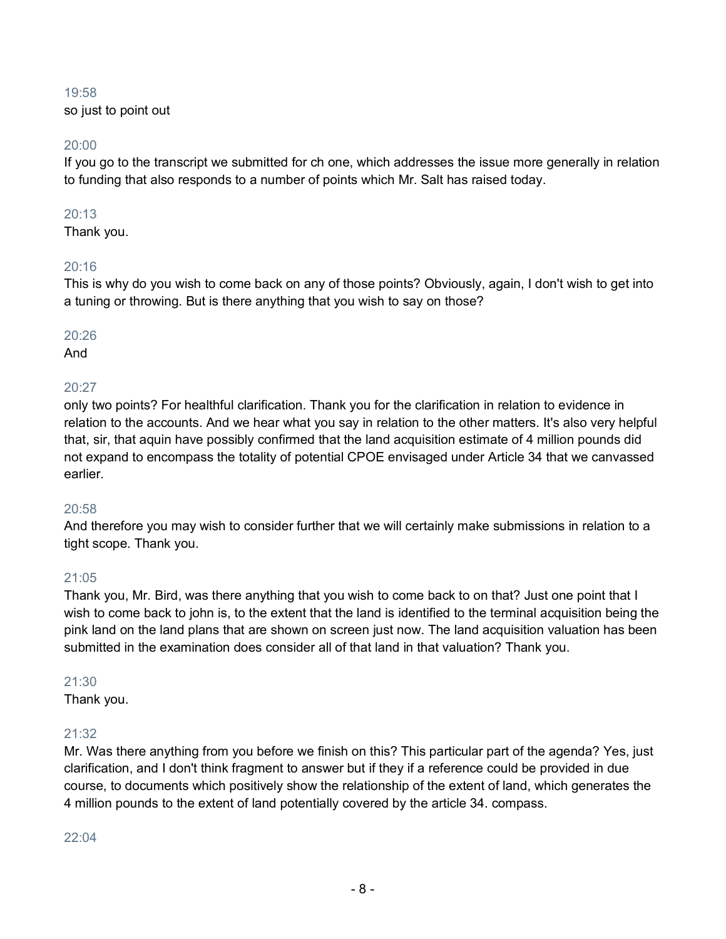so just to point out

# 20:00

If you go to the transcript we submitted for ch one, which addresses the issue more generally in relation to funding that also responds to a number of points which Mr. Salt has raised today.

# 20:13

Thank you.

# 20:16

This is why do you wish to come back on any of those points? Obviously, again, I don't wish to get into a tuning or throwing. But is there anything that you wish to say on those?

# 20:26

And

# $20:27$

only two points? For healthful clarification. Thank you for the clarification in relation to evidence in relation to the accounts. And we hear what you say in relation to the other matters. It's also very helpful that, sir, that aquin have possibly confirmed that the land acquisition estimate of 4 million pounds did not expand to encompass the totality of potential CPOE envisaged under Article 34 that we canvassed earlier.

# 20:58

And therefore you may wish to consider further that we will certainly make submissions in relation to a tight scope. Thank you.

# 21:05

Thank you, Mr. Bird, was there anything that you wish to come back to on that? Just one point that I wish to come back to john is, to the extent that the land is identified to the terminal acquisition being the pink land on the land plans that are shown on screen just now. The land acquisition valuation has been submitted in the examination does consider all of that land in that valuation? Thank you.

## 21:30

Thank you.

# 21:32

Mr. Was there anything from you before we finish on this? This particular part of the agenda? Yes, just clarification, and I don't think fragment to answer but if they if a reference could be provided in due course, to documents which positively show the relationship of the extent of land, which generates the 4 million pounds to the extent of land potentially covered by the article 34. compass.

 $22.04$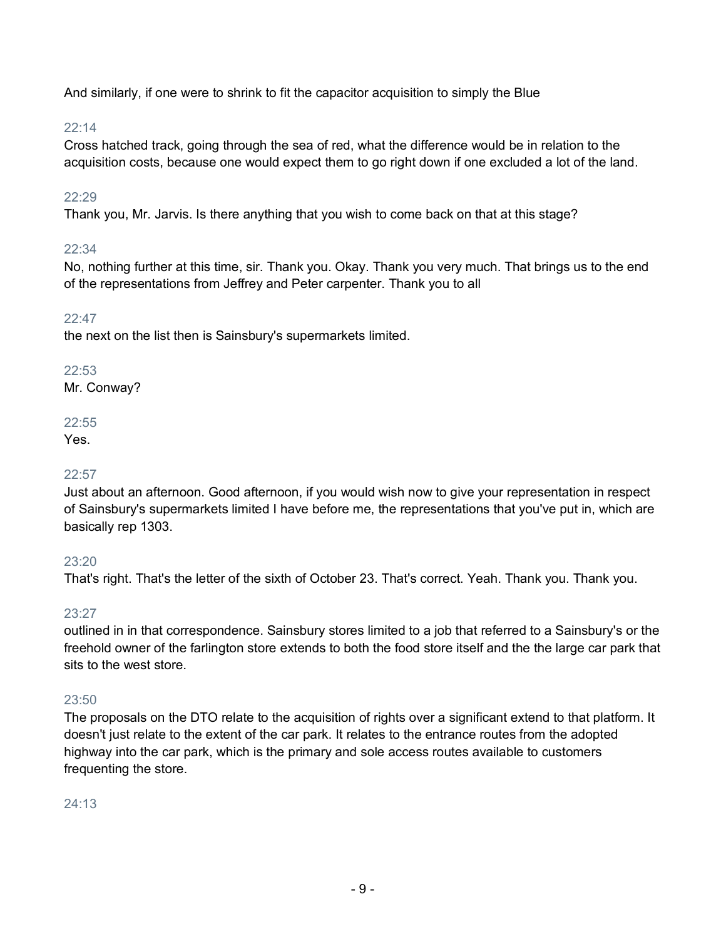And similarly, if one were to shrink to fit the capacitor acquisition to simply the Blue

# 22:14

Cross hatched track, going through the sea of red, what the difference would be in relation to the acquisition costs, because one would expect them to go right down if one excluded a lot of the land.

# 22:29

Thank you, Mr. Jarvis. Is there anything that you wish to come back on that at this stage?

# $22:34$

No, nothing further at this time, sir. Thank you. Okay. Thank you very much. That brings us to the end of the representations from Jeffrey and Peter carpenter. Thank you to all

# 22:47

the next on the list then is Sainsbury's supermarkets limited.

# 22:53

Mr. Conway?

# 22:55

Yes.

# 22:57

Just about an afternoon. Good afternoon, if you would wish now to give your representation in respect of Sainsbury's supermarkets limited I have before me, the representations that you've put in, which are basically rep 1303.

# 23:20

That's right. That's the letter of the sixth of October 23. That's correct. Yeah. Thank you. Thank you.

# 23:27

outlined in in that correspondence. Sainsbury stores limited to a job that referred to a Sainsbury's or the freehold owner of the farlington store extends to both the food store itself and the the large car park that sits to the west store.

# 23:50

The proposals on the DTO relate to the acquisition of rights over a significant extend to that platform. It doesn't just relate to the extent of the car park. It relates to the entrance routes from the adopted highway into the car park, which is the primary and sole access routes available to customers frequenting the store.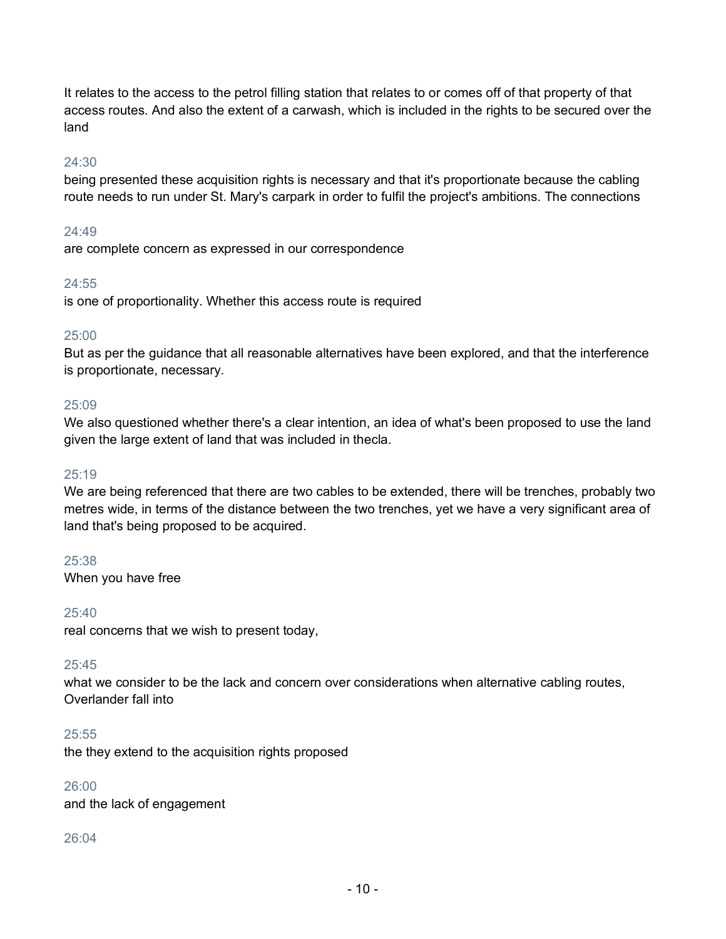It relates to the access to the petrol filling station that relates to or comes off of that property of that access routes. And also the extent of a carwash, which is included in the rights to be secured over the land

# 24:30

being presented these acquisition rights is necessary and that it's proportionate because the cabling route needs to run under St. Mary's carpark in order to fulfil the project's ambitions. The connections

## $24.49$

are complete concern as expressed in our correspondence

# 24:55

is one of proportionality. Whether this access route is required

## 25:00

But as per the guidance that all reasonable alternatives have been explored, and that the interference is proportionate, necessary.

## 25:09

We also questioned whether there's a clear intention, an idea of what's been proposed to use the land given the large extent of land that was included in thecla.

## 25:19

We are being referenced that there are two cables to be extended, there will be trenches, probably two metres wide, in terms of the distance between the two trenches, yet we have a very significant area of land that's being proposed to be acquired.

## 25:38

When you have free

## 25:40

real concerns that we wish to present today,

## 25:45

what we consider to be the lack and concern over considerations when alternative cabling routes, Overlander fall into

## 25:55

the they extend to the acquisition rights proposed

## 26:00

and the lack of engagement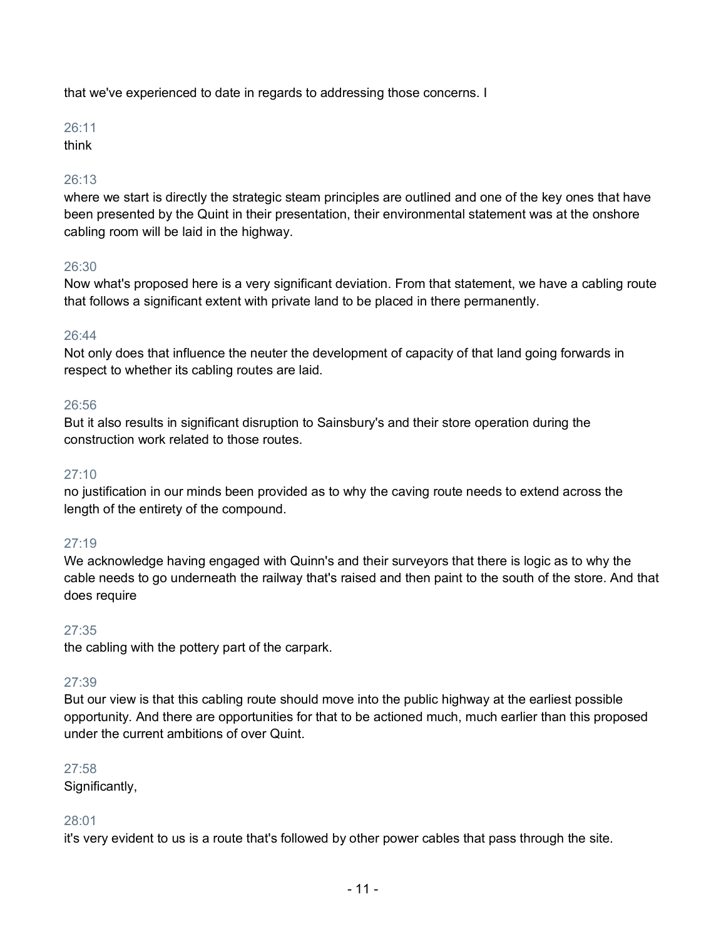that we've experienced to date in regards to addressing those concerns. I

# 26:11

think

# 26:13

where we start is directly the strategic steam principles are outlined and one of the key ones that have been presented by the Quint in their presentation, their environmental statement was at the onshore cabling room will be laid in the highway.

# 26:30

Now what's proposed here is a very significant deviation. From that statement, we have a cabling route that follows a significant extent with private land to be placed in there permanently.

# 26:44

Not only does that influence the neuter the development of capacity of that land going forwards in respect to whether its cabling routes are laid.

# 26:56

But it also results in significant disruption to Sainsbury's and their store operation during the construction work related to those routes.

# 27:10

no justification in our minds been provided as to why the caving route needs to extend across the length of the entirety of the compound.

# 27:19

We acknowledge having engaged with Quinn's and their surveyors that there is logic as to why the cable needs to go underneath the railway that's raised and then paint to the south of the store. And that does require

# 27:35

the cabling with the pottery part of the carpark.

## 27:39

But our view is that this cabling route should move into the public highway at the earliest possible opportunity. And there are opportunities for that to be actioned much, much earlier than this proposed under the current ambitions of over Quint.

## 27:58

Significantly,

# 28:01

it's very evident to us is a route that's followed by other power cables that pass through the site.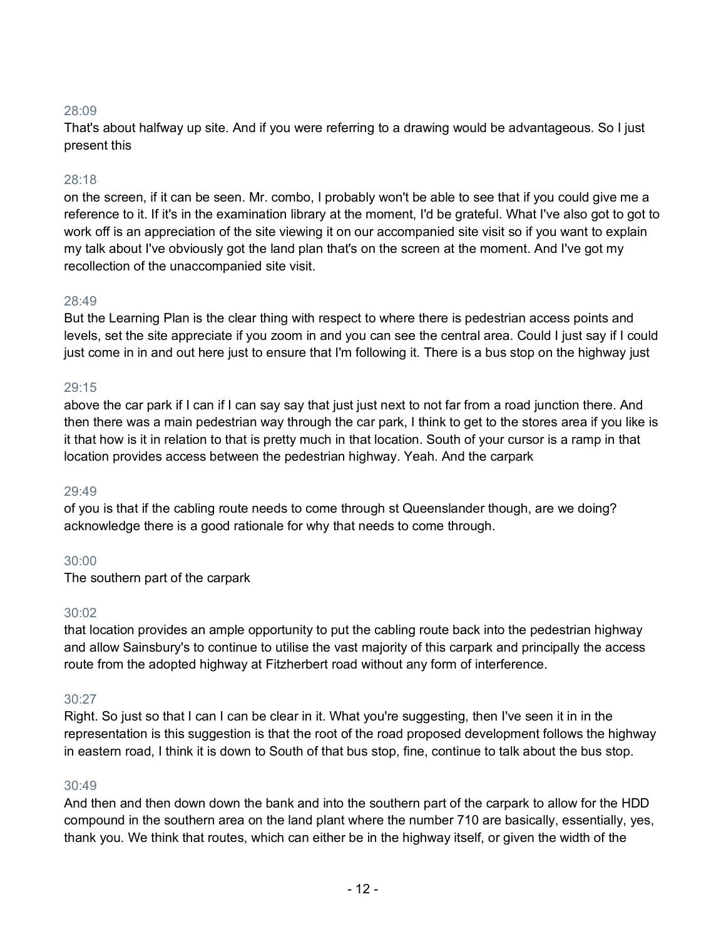That's about halfway up site. And if you were referring to a drawing would be advantageous. So I just present this

## 28:18

on the screen, if it can be seen. Mr. combo, I probably won't be able to see that if you could give me a reference to it. If it's in the examination library at the moment, I'd be grateful. What I've also got to got to work off is an appreciation of the site viewing it on our accompanied site visit so if you want to explain my talk about I've obviously got the land plan that's on the screen at the moment. And I've got my recollection of the unaccompanied site visit.

#### 28:49

But the Learning Plan is the clear thing with respect to where there is pedestrian access points and levels, set the site appreciate if you zoom in and you can see the central area. Could I just say if I could just come in in and out here just to ensure that I'm following it. There is a bus stop on the highway just

#### 29:15

above the car park if I can if I can say say that just just next to not far from a road junction there. And then there was a main pedestrian way through the car park, I think to get to the stores area if you like is it that how is it in relation to that is pretty much in that location. South of your cursor is a ramp in that location provides access between the pedestrian highway. Yeah. And the carpark

#### 29:49

of you is that if the cabling route needs to come through st Queenslander though, are we doing? acknowledge there is a good rationale for why that needs to come through.

## 30:00

The southern part of the carpark

#### 30:02

that location provides an ample opportunity to put the cabling route back into the pedestrian highway and allow Sainsbury's to continue to utilise the vast majority of this carpark and principally the access route from the adopted highway at Fitzherbert road without any form of interference.

#### 30:27

Right. So just so that I can I can be clear in it. What you're suggesting, then I've seen it in in the representation is this suggestion is that the root of the road proposed development follows the highway in eastern road, I think it is down to South of that bus stop, fine, continue to talk about the bus stop.

#### 30:49

And then and then down down the bank and into the southern part of the carpark to allow for the HDD compound in the southern area on the land plant where the number 710 are basically, essentially, yes, thank you. We think that routes, which can either be in the highway itself, or given the width of the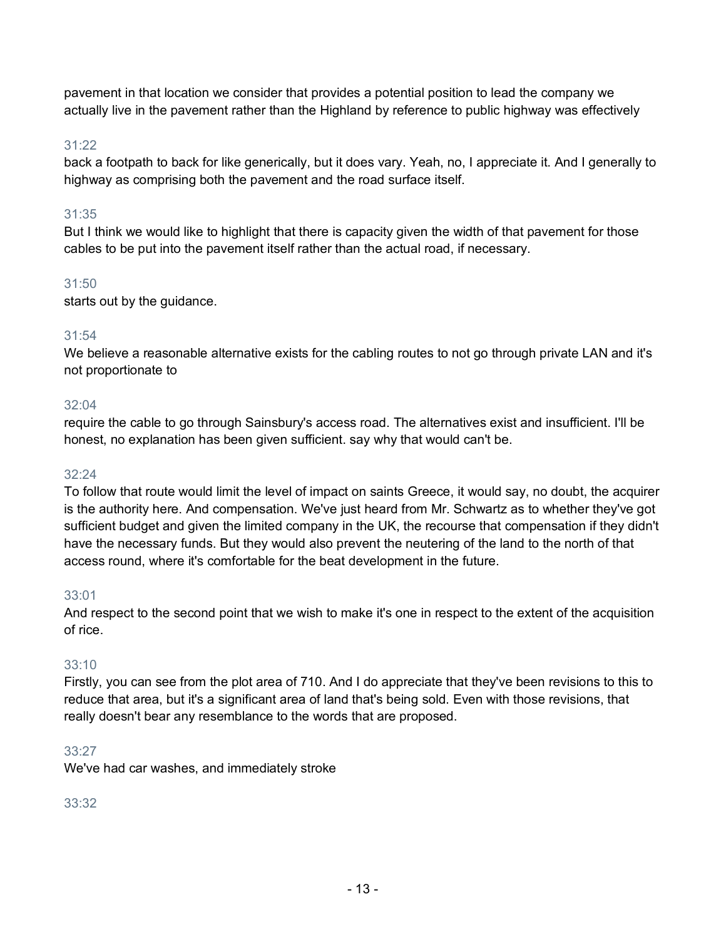pavement in that location we consider that provides a potential position to lead the company we actually live in the pavement rather than the Highland by reference to public highway was effectively

# 31:22

back a footpath to back for like generically, but it does vary. Yeah, no, I appreciate it. And I generally to highway as comprising both the pavement and the road surface itself.

# 31:35

But I think we would like to highlight that there is capacity given the width of that pavement for those cables to be put into the pavement itself rather than the actual road, if necessary.

# 31:50

starts out by the guidance.

## 31:54

We believe a reasonable alternative exists for the cabling routes to not go through private LAN and it's not proportionate to

#### 32:04

require the cable to go through Sainsbury's access road. The alternatives exist and insufficient. I'll be honest, no explanation has been given sufficient. say why that would can't be.

#### 32:24

To follow that route would limit the level of impact on saints Greece, it would say, no doubt, the acquirer is the authority here. And compensation. We've just heard from Mr. Schwartz as to whether they've got sufficient budget and given the limited company in the UK, the recourse that compensation if they didn't have the necessary funds. But they would also prevent the neutering of the land to the north of that access round, where it's comfortable for the beat development in the future.

#### 33:01

And respect to the second point that we wish to make it's one in respect to the extent of the acquisition of rice.

## 33:10

Firstly, you can see from the plot area of 710. And I do appreciate that they've been revisions to this to reduce that area, but it's a significant area of land that's being sold. Even with those revisions, that really doesn't bear any resemblance to the words that are proposed.

## 33:27

We've had car washes, and immediately stroke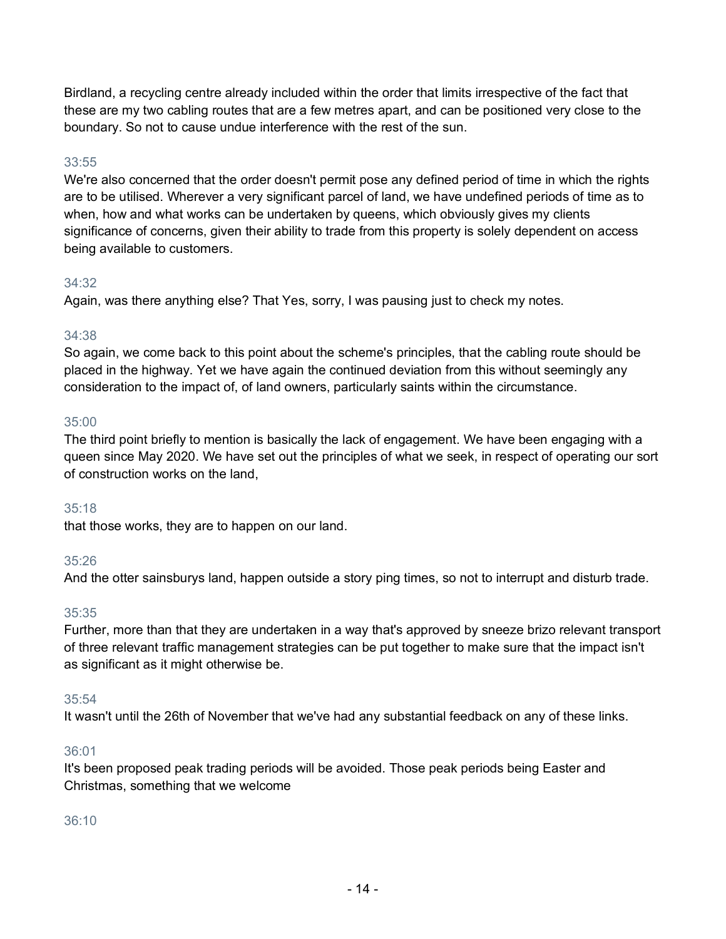Birdland, a recycling centre already included within the order that limits irrespective of the fact that these are my two cabling routes that are a few metres apart, and can be positioned very close to the boundary. So not to cause undue interference with the rest of the sun.

# 33:55

We're also concerned that the order doesn't permit pose any defined period of time in which the rights are to be utilised. Wherever a very significant parcel of land, we have undefined periods of time as to when, how and what works can be undertaken by queens, which obviously gives my clients significance of concerns, given their ability to trade from this property is solely dependent on access being available to customers.

# 34:32

Again, was there anything else? That Yes, sorry, I was pausing just to check my notes.

# 34:38

So again, we come back to this point about the scheme's principles, that the cabling route should be placed in the highway. Yet we have again the continued deviation from this without seemingly any consideration to the impact of, of land owners, particularly saints within the circumstance.

# 35:00

The third point briefly to mention is basically the lack of engagement. We have been engaging with a queen since May 2020. We have set out the principles of what we seek, in respect of operating our sort of construction works on the land,

# 35:18

that those works, they are to happen on our land.

# 35:26

And the otter sainsburys land, happen outside a story ping times, so not to interrupt and disturb trade.

# 35:35

Further, more than that they are undertaken in a way that's approved by sneeze brizo relevant transport of three relevant traffic management strategies can be put together to make sure that the impact isn't as significant as it might otherwise be.

## 35:54

It wasn't until the 26th of November that we've had any substantial feedback on any of these links.

## 36:01

It's been proposed peak trading periods will be avoided. Those peak periods being Easter and Christmas, something that we welcome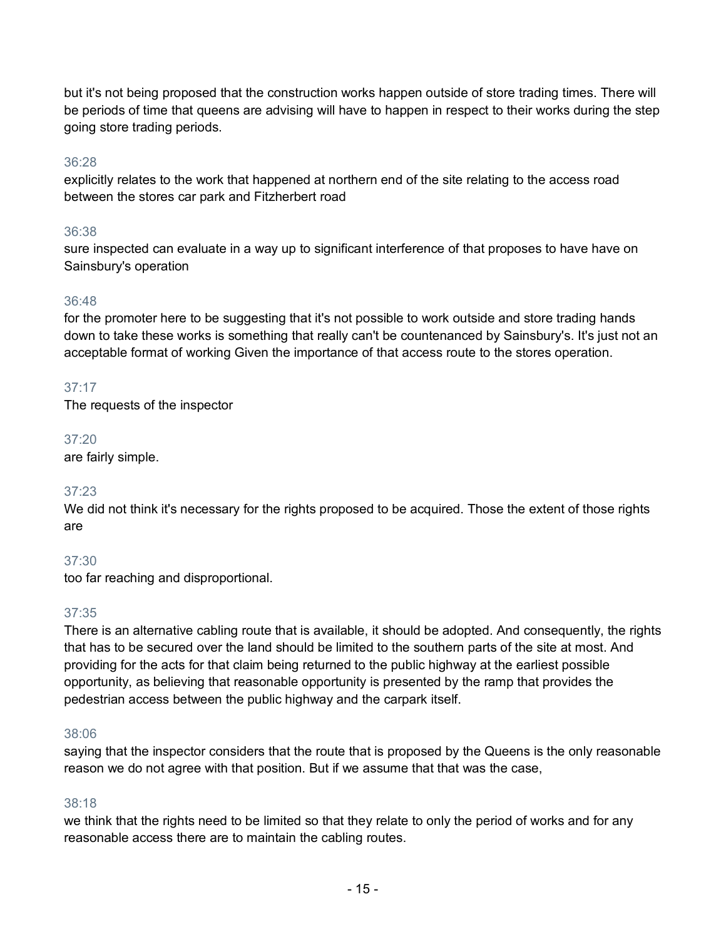but it's not being proposed that the construction works happen outside of store trading times. There will be periods of time that queens are advising will have to happen in respect to their works during the step going store trading periods.

# 36:28

explicitly relates to the work that happened at northern end of the site relating to the access road between the stores car park and Fitzherbert road

## 36:38

sure inspected can evaluate in a way up to significant interference of that proposes to have have on Sainsbury's operation

# 36:48

for the promoter here to be suggesting that it's not possible to work outside and store trading hands down to take these works is something that really can't be countenanced by Sainsbury's. It's just not an acceptable format of working Given the importance of that access route to the stores operation.

# 37:17

The requests of the inspector

## 37:20

are fairly simple.

## 37:23

We did not think it's necessary for the rights proposed to be acquired. Those the extent of those rights are

## 37:30

too far reaching and disproportional.

# 37:35

There is an alternative cabling route that is available, it should be adopted. And consequently, the rights that has to be secured over the land should be limited to the southern parts of the site at most. And providing for the acts for that claim being returned to the public highway at the earliest possible opportunity, as believing that reasonable opportunity is presented by the ramp that provides the pedestrian access between the public highway and the carpark itself.

## 38:06

saying that the inspector considers that the route that is proposed by the Queens is the only reasonable reason we do not agree with that position. But if we assume that that was the case,

## 38:18

we think that the rights need to be limited so that they relate to only the period of works and for any reasonable access there are to maintain the cabling routes.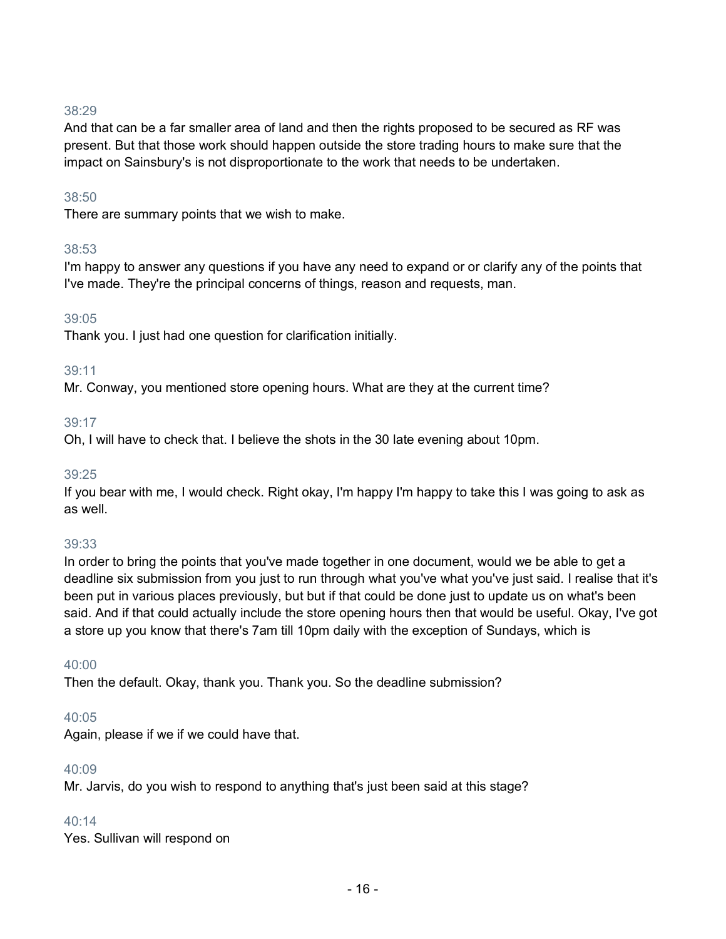And that can be a far smaller area of land and then the rights proposed to be secured as RF was present. But that those work should happen outside the store trading hours to make sure that the impact on Sainsbury's is not disproportionate to the work that needs to be undertaken.

## 38:50

There are summary points that we wish to make.

#### 38:53

I'm happy to answer any questions if you have any need to expand or or clarify any of the points that I've made. They're the principal concerns of things, reason and requests, man.

## 39:05

Thank you. I just had one question for clarification initially.

## 39:11

Mr. Conway, you mentioned store opening hours. What are they at the current time?

## 39:17

Oh, I will have to check that. I believe the shots in the 30 late evening about 10pm.

#### 39:25

If you bear with me, I would check. Right okay, I'm happy I'm happy to take this I was going to ask as as well.

## 39:33

In order to bring the points that you've made together in one document, would we be able to get a deadline six submission from you just to run through what you've what you've just said. I realise that it's been put in various places previously, but but if that could be done just to update us on what's been said. And if that could actually include the store opening hours then that would be useful. Okay, I've got a store up you know that there's 7am till 10pm daily with the exception of Sundays, which is

#### 40:00

Then the default. Okay, thank you. Thank you. So the deadline submission?

#### 40:05

Again, please if we if we could have that.

#### 40:09

Mr. Jarvis, do you wish to respond to anything that's just been said at this stage?

#### 40:14

Yes. Sullivan will respond on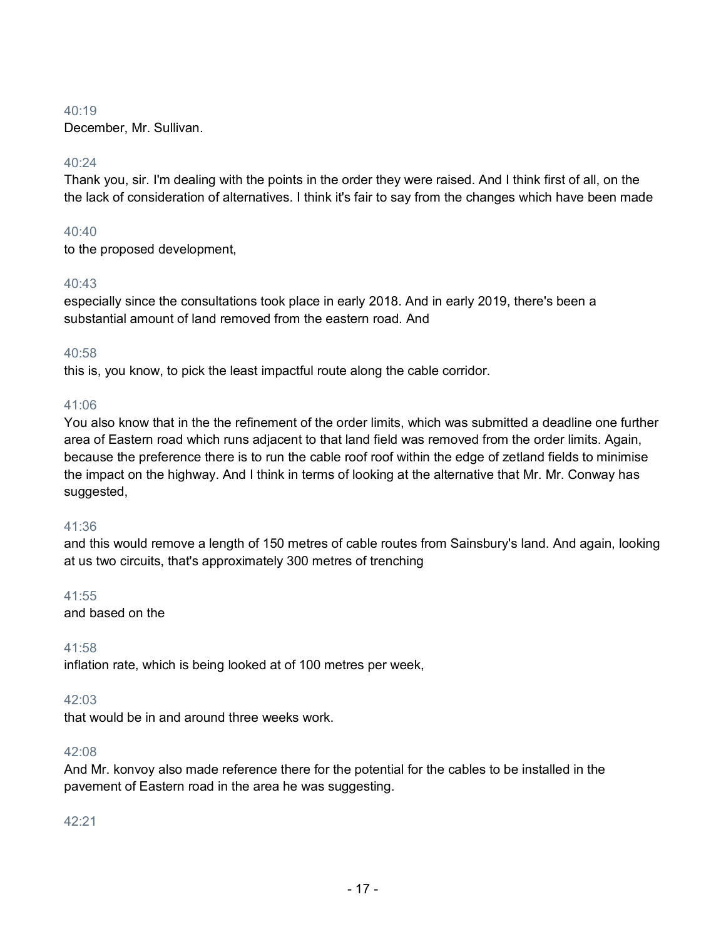## $40.19$

December, Mr. Sullivan.

# 40:24

Thank you, sir. I'm dealing with the points in the order they were raised. And I think first of all, on the the lack of consideration of alternatives. I think it's fair to say from the changes which have been made

# 40:40

to the proposed development,

# 40:43

especially since the consultations took place in early 2018. And in early 2019, there's been a substantial amount of land removed from the eastern road. And

# 40:58

this is, you know, to pick the least impactful route along the cable corridor.

## 41:06

You also know that in the the refinement of the order limits, which was submitted a deadline one further area of Eastern road which runs adjacent to that land field was removed from the order limits. Again, because the preference there is to run the cable roof roof within the edge of zetland fields to minimise the impact on the highway. And I think in terms of looking at the alternative that Mr. Mr. Conway has suggested,

## 41:36

and this would remove a length of 150 metres of cable routes from Sainsbury's land. And again, looking at us two circuits, that's approximately 300 metres of trenching

## 41:55

and based on the

## 41:58

inflation rate, which is being looked at of 100 metres per week,

## 42:03

that would be in and around three weeks work.

## 42:08

And Mr. konvoy also made reference there for the potential for the cables to be installed in the pavement of Eastern road in the area he was suggesting.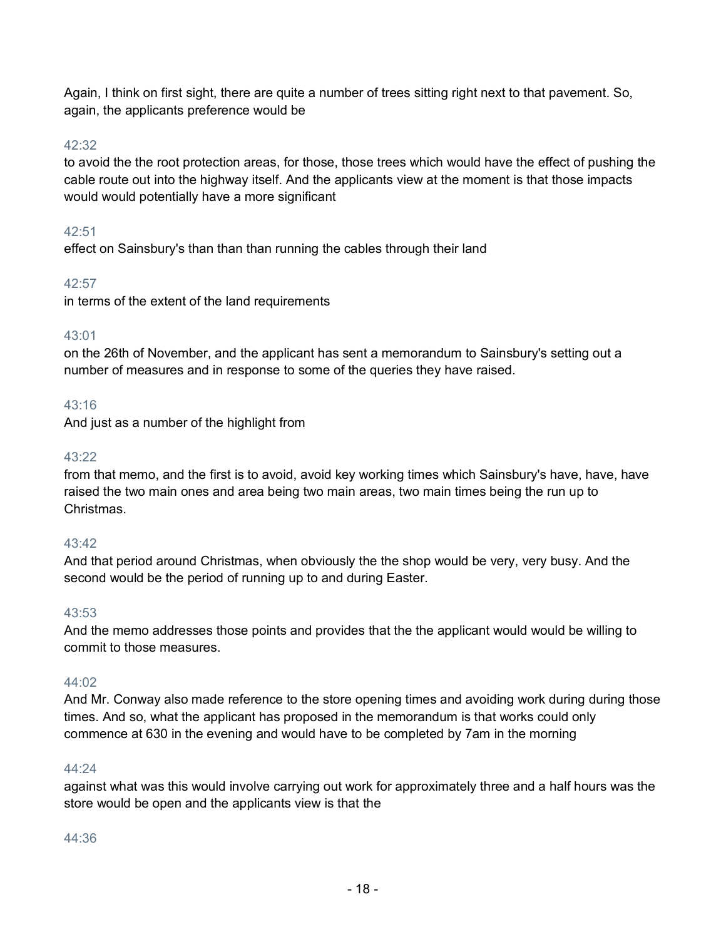Again, I think on first sight, there are quite a number of trees sitting right next to that pavement. So, again, the applicants preference would be

# 42:32

to avoid the the root protection areas, for those, those trees which would have the effect of pushing the cable route out into the highway itself. And the applicants view at the moment is that those impacts would would potentially have a more significant

# 42:51

effect on Sainsbury's than than than running the cables through their land

# 42:57

in terms of the extent of the land requirements

# 43:01

on the 26th of November, and the applicant has sent a memorandum to Sainsbury's setting out a number of measures and in response to some of the queries they have raised.

# 43:16

And just as a number of the highlight from

# 43:22

from that memo, and the first is to avoid, avoid key working times which Sainsbury's have, have, have raised the two main ones and area being two main areas, two main times being the run up to Christmas.

## 43:42

And that period around Christmas, when obviously the the shop would be very, very busy. And the second would be the period of running up to and during Easter.

## 43:53

And the memo addresses those points and provides that the the applicant would would be willing to commit to those measures.

## 44:02

And Mr. Conway also made reference to the store opening times and avoiding work during during those times. And so, what the applicant has proposed in the memorandum is that works could only commence at 630 in the evening and would have to be completed by 7am in the morning

## 44:24

against what was this would involve carrying out work for approximately three and a half hours was the store would be open and the applicants view is that the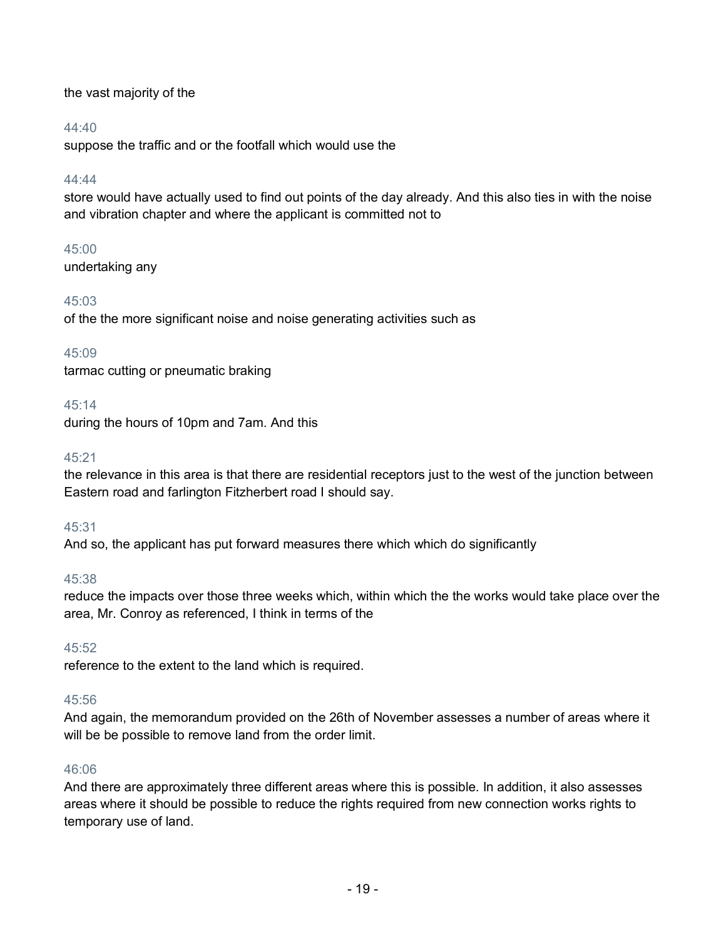the vast majority of the

# 44:40

suppose the traffic and or the footfall which would use the

## 44:44

store would have actually used to find out points of the day already. And this also ties in with the noise and vibration chapter and where the applicant is committed not to

# 45:00

undertaking any

# 45:03

of the the more significant noise and noise generating activities such as

# 45:09

tarmac cutting or pneumatic braking

# 45:14

during the hours of 10pm and 7am. And this

# 45:21

the relevance in this area is that there are residential receptors just to the west of the junction between Eastern road and farlington Fitzherbert road I should say.

## 45:31

And so, the applicant has put forward measures there which which do significantly

# 45:38

reduce the impacts over those three weeks which, within which the the works would take place over the area, Mr. Conroy as referenced, I think in terms of the

## 45:52

reference to the extent to the land which is required.

## 45:56

And again, the memorandum provided on the 26th of November assesses a number of areas where it will be be possible to remove land from the order limit.

## 46:06

And there are approximately three different areas where this is possible. In addition, it also assesses areas where it should be possible to reduce the rights required from new connection works rights to temporary use of land.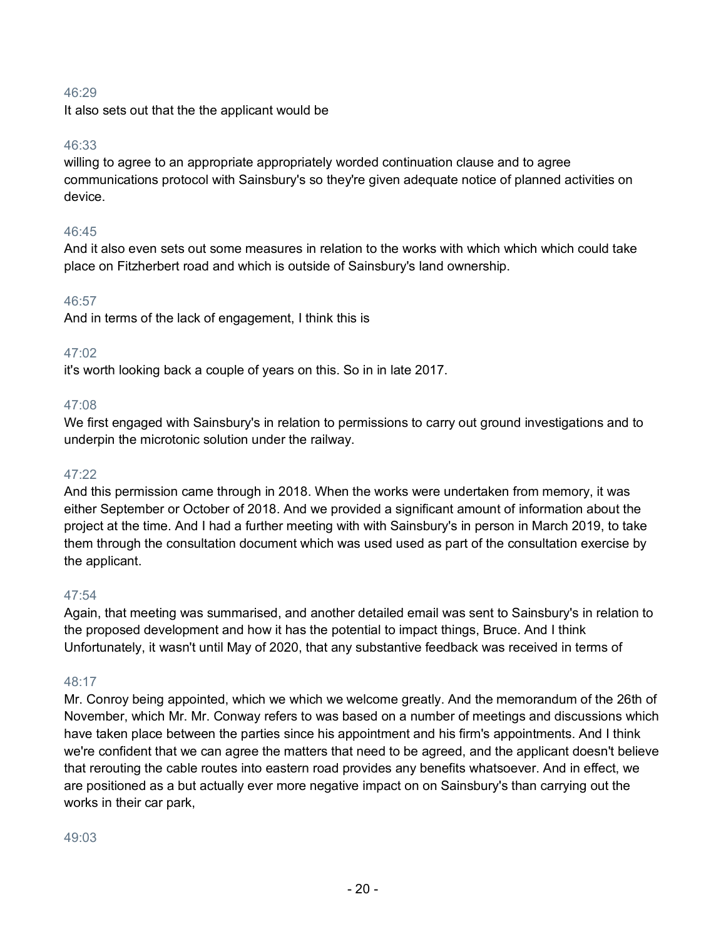It also sets out that the the applicant would be

## 46:33

willing to agree to an appropriate appropriately worded continuation clause and to agree communications protocol with Sainsbury's so they're given adequate notice of planned activities on device.

# 46:45

And it also even sets out some measures in relation to the works with which which which could take place on Fitzherbert road and which is outside of Sainsbury's land ownership.

## 46:57

And in terms of the lack of engagement, I think this is

# 47:02

it's worth looking back a couple of years on this. So in in late 2017.

## 47:08

We first engaged with Sainsbury's in relation to permissions to carry out ground investigations and to underpin the microtonic solution under the railway.

## 47:22

And this permission came through in 2018. When the works were undertaken from memory, it was either September or October of 2018. And we provided a significant amount of information about the project at the time. And I had a further meeting with with Sainsbury's in person in March 2019, to take them through the consultation document which was used used as part of the consultation exercise by the applicant.

## 47:54

Again, that meeting was summarised, and another detailed email was sent to Sainsbury's in relation to the proposed development and how it has the potential to impact things, Bruce. And I think Unfortunately, it wasn't until May of 2020, that any substantive feedback was received in terms of

# 48:17

Mr. Conroy being appointed, which we which we welcome greatly. And the memorandum of the 26th of November, which Mr. Mr. Conway refers to was based on a number of meetings and discussions which have taken place between the parties since his appointment and his firm's appointments. And I think we're confident that we can agree the matters that need to be agreed, and the applicant doesn't believe that rerouting the cable routes into eastern road provides any benefits whatsoever. And in effect, we are positioned as a but actually ever more negative impact on on Sainsbury's than carrying out the works in their car park,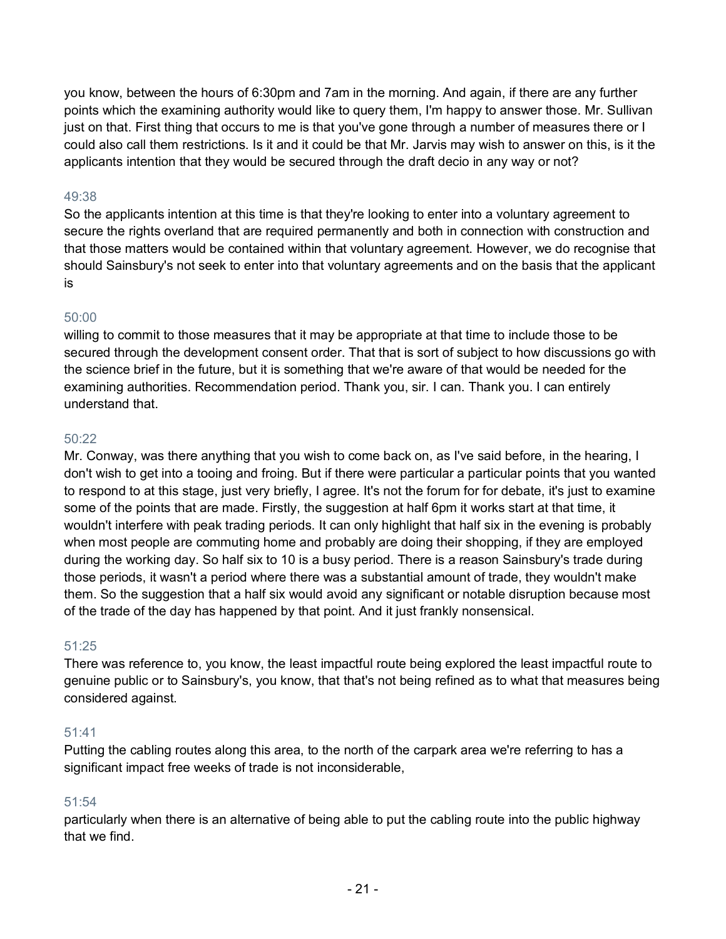you know, between the hours of 6:30pm and 7am in the morning. And again, if there are any further points which the examining authority would like to query them, I'm happy to answer those. Mr. Sullivan just on that. First thing that occurs to me is that you've gone through a number of measures there or I could also call them restrictions. Is it and it could be that Mr. Jarvis may wish to answer on this, is it the applicants intention that they would be secured through the draft decio in any way or not?

# 49:38

So the applicants intention at this time is that they're looking to enter into a voluntary agreement to secure the rights overland that are required permanently and both in connection with construction and that those matters would be contained within that voluntary agreement. However, we do recognise that should Sainsbury's not seek to enter into that voluntary agreements and on the basis that the applicant is

## 50:00

willing to commit to those measures that it may be appropriate at that time to include those to be secured through the development consent order. That that is sort of subject to how discussions go with the science brief in the future, but it is something that we're aware of that would be needed for the examining authorities. Recommendation period. Thank you, sir. I can. Thank you. I can entirely understand that.

## 50:22

Mr. Conway, was there anything that you wish to come back on, as I've said before, in the hearing, I don't wish to get into a tooing and froing. But if there were particular a particular points that you wanted to respond to at this stage, just very briefly, I agree. It's not the forum for for debate, it's just to examine some of the points that are made. Firstly, the suggestion at half 6pm it works start at that time, it wouldn't interfere with peak trading periods. It can only highlight that half six in the evening is probably when most people are commuting home and probably are doing their shopping, if they are employed during the working day. So half six to 10 is a busy period. There is a reason Sainsbury's trade during those periods, it wasn't a period where there was a substantial amount of trade, they wouldn't make them. So the suggestion that a half six would avoid any significant or notable disruption because most of the trade of the day has happened by that point. And it just frankly nonsensical.

## 51:25

There was reference to, you know, the least impactful route being explored the least impactful route to genuine public or to Sainsbury's, you know, that that's not being refined as to what that measures being considered against.

## 51:41

Putting the cabling routes along this area, to the north of the carpark area we're referring to has a significant impact free weeks of trade is not inconsiderable,

# 51:54

particularly when there is an alternative of being able to put the cabling route into the public highway that we find.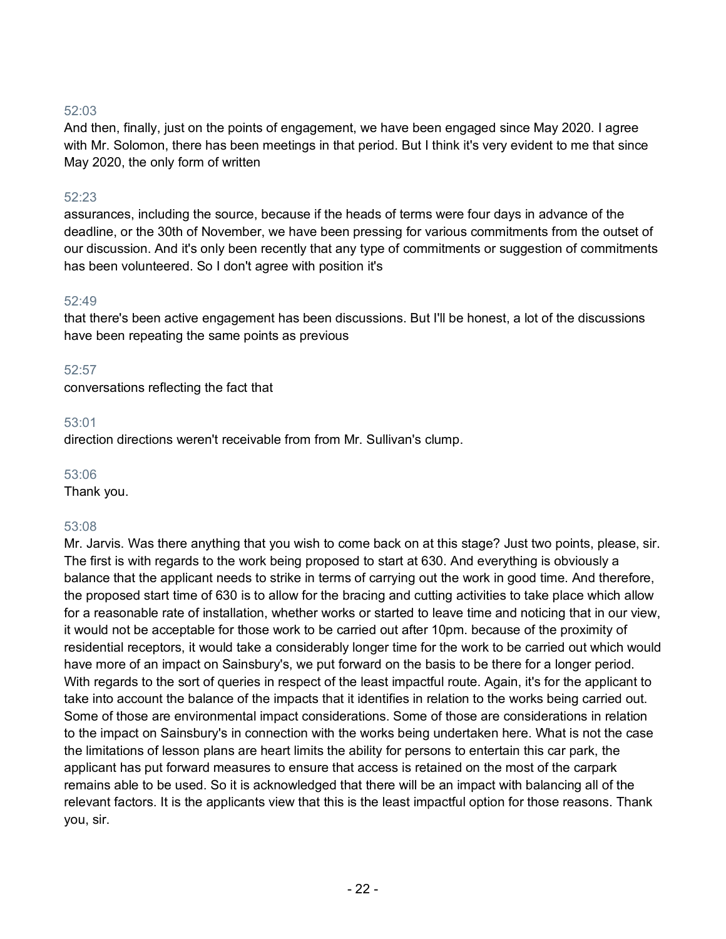And then, finally, just on the points of engagement, we have been engaged since May 2020. I agree with Mr. Solomon, there has been meetings in that period. But I think it's very evident to me that since May 2020, the only form of written

## 52:23

assurances, including the source, because if the heads of terms were four days in advance of the deadline, or the 30th of November, we have been pressing for various commitments from the outset of our discussion. And it's only been recently that any type of commitments or suggestion of commitments has been volunteered. So I don't agree with position it's

#### 52:49

that there's been active engagement has been discussions. But I'll be honest, a lot of the discussions have been repeating the same points as previous

#### 52:57

conversations reflecting the fact that

#### 53:01

direction directions weren't receivable from from Mr. Sullivan's clump.

#### 53:06

Thank you.

#### 53:08

Mr. Jarvis. Was there anything that you wish to come back on at this stage? Just two points, please, sir. The first is with regards to the work being proposed to start at 630. And everything is obviously a balance that the applicant needs to strike in terms of carrying out the work in good time. And therefore, the proposed start time of 630 is to allow for the bracing and cutting activities to take place which allow for a reasonable rate of installation, whether works or started to leave time and noticing that in our view, it would not be acceptable for those work to be carried out after 10pm. because of the proximity of residential receptors, it would take a considerably longer time for the work to be carried out which would have more of an impact on Sainsbury's, we put forward on the basis to be there for a longer period. With regards to the sort of queries in respect of the least impactful route. Again, it's for the applicant to take into account the balance of the impacts that it identifies in relation to the works being carried out. Some of those are environmental impact considerations. Some of those are considerations in relation to the impact on Sainsbury's in connection with the works being undertaken here. What is not the case the limitations of lesson plans are heart limits the ability for persons to entertain this car park, the applicant has put forward measures to ensure that access is retained on the most of the carpark remains able to be used. So it is acknowledged that there will be an impact with balancing all of the relevant factors. It is the applicants view that this is the least impactful option for those reasons. Thank you, sir.